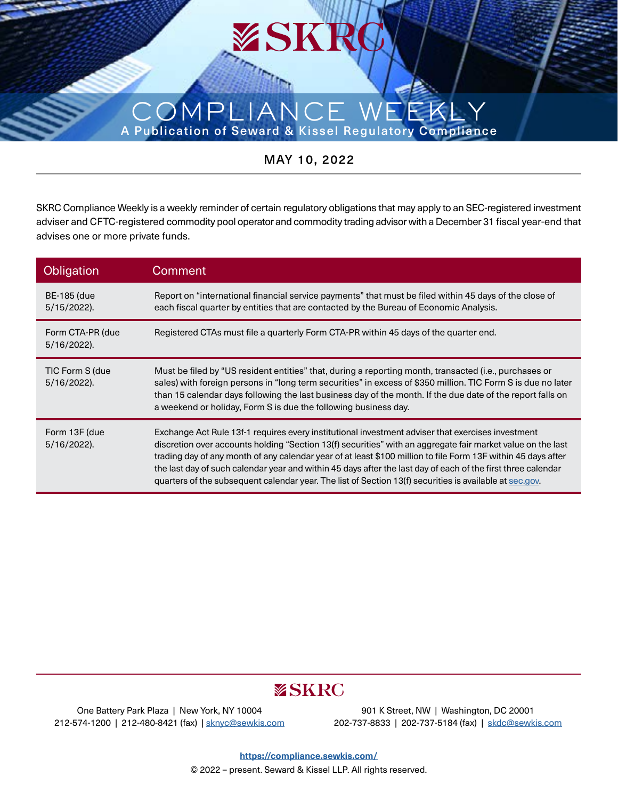## COMPLI A Publication of Seward & Kissel Regulatory Compliance

MAY 10, 2022

SKRC Compliance Weekly is a weekly reminder of certain regulatory obligations that may apply to an SEC-registered investment adviser and CFTC-registered commodity pool operator and commodity trading advisor with a December 31 fiscal year-end that advises one or more private funds.

| Obligation                           | Comment                                                                                                                                                                                                                                                                                                                                                                                                                                                                                                                                                      |  |  |
|--------------------------------------|--------------------------------------------------------------------------------------------------------------------------------------------------------------------------------------------------------------------------------------------------------------------------------------------------------------------------------------------------------------------------------------------------------------------------------------------------------------------------------------------------------------------------------------------------------------|--|--|
| <b>BE-185 (due</b><br>$5/15/2022$ ). | Report on "international financial service payments" that must be filed within 45 days of the close of<br>each fiscal quarter by entities that are contacted by the Bureau of Economic Analysis.                                                                                                                                                                                                                                                                                                                                                             |  |  |
| Form CTA-PR (due<br>5/16/2022).      | Registered CTAs must file a quarterly Form CTA-PR within 45 days of the quarter end.                                                                                                                                                                                                                                                                                                                                                                                                                                                                         |  |  |
| TIC Form S (due<br>5/16/2022).       | Must be filed by "US resident entities" that, during a reporting month, transacted (i.e., purchases or<br>sales) with foreign persons in "long term securities" in excess of \$350 million. TIC Form S is due no later<br>than 15 calendar days following the last business day of the month. If the due date of the report falls on<br>a weekend or holiday, Form S is due the following business day.                                                                                                                                                      |  |  |
| Form 13F (due<br>5/16/2022).         | Exchange Act Rule 13f-1 requires every institutional investment adviser that exercises investment<br>discretion over accounts holding "Section 13(f) securities" with an aggregate fair market value on the last<br>trading day of any month of any calendar year of at least \$100 million to file Form 13F within 45 days after<br>the last day of such calendar year and within 45 days after the last day of each of the first three calendar<br>quarters of the subsequent calendar year. The list of Section 13(f) securities is available at sec.gov. |  |  |

## **ESKRC**

One Battery Park Plaza | New York, NY 10004 212-574-1200 | 212-480-8421 (fax) | [sknyc@sewkis.com](mailto:sknyc%40sewkis.com?subject=)

901 K Street, NW | Washington, DC 20001 202-737-8833 | 202-737-5184 (fax) | [skdc@sewkis.com](mailto:skdc%40sewkis.com?subject=)

**<https://compliance.sewkis.com/>** © 2022 – present. Seward & Kissel LLP. All rights reserved.